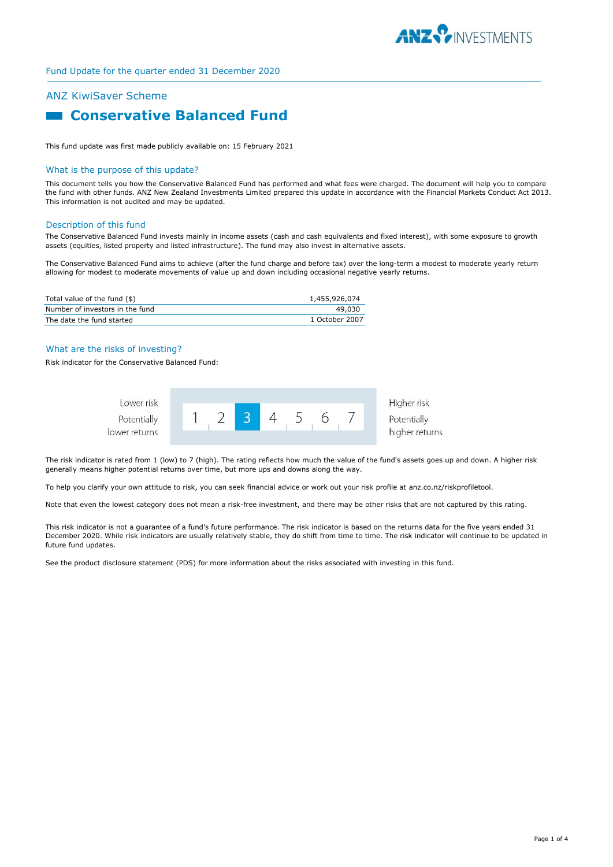

# ANZ KiwiSaver Scheme

# **Example 2 Conservative Balanced Fund**

This fund update was first made publicly available on: 15 February 2021

#### What is the purpose of this update?

This document tells you how the Conservative Balanced Fund has performed and what fees were charged. The document will help you to compare the fund with other funds. ANZ New Zealand Investments Limited prepared this update in accordance with the Financial Markets Conduct Act 2013. This information is not audited and may be updated.

#### Description of this fund

The Conservative Balanced Fund invests mainly in income assets (cash and cash equivalents and fixed interest), with some exposure to growth assets (equities, listed property and listed infrastructure). The fund may also invest in alternative assets.

The Conservative Balanced Fund aims to achieve (after the fund charge and before tax) over the long-term a modest to moderate yearly return allowing for modest to moderate movements of value up and down including occasional negative yearly returns.

| Total value of the fund (\$)    | 1,455,926,074  |
|---------------------------------|----------------|
| Number of investors in the fund | 49.030         |
| The date the fund started       | 1 October 2007 |

## What are the risks of investing?

Risk indicator for the Conservative Balanced Fund:



The risk indicator is rated from 1 (low) to 7 (high). The rating reflects how much the value of the fund's assets goes up and down. A higher risk generally means higher potential returns over time, but more ups and downs along the way.

To help you clarify your own attitude to risk, you can seek financial advice or work out your risk profile at anz.co.nz/riskprofiletool.

Note that even the lowest category does not mean a risk-free investment, and there may be other risks that are not captured by this rating.

This risk indicator is not a guarantee of a fund's future performance. The risk indicator is based on the returns data for the five years ended 31 December 2020. While risk indicators are usually relatively stable, they do shift from time to time. The risk indicator will continue to be updated in future fund updates.

See the product disclosure statement (PDS) for more information about the risks associated with investing in this fund.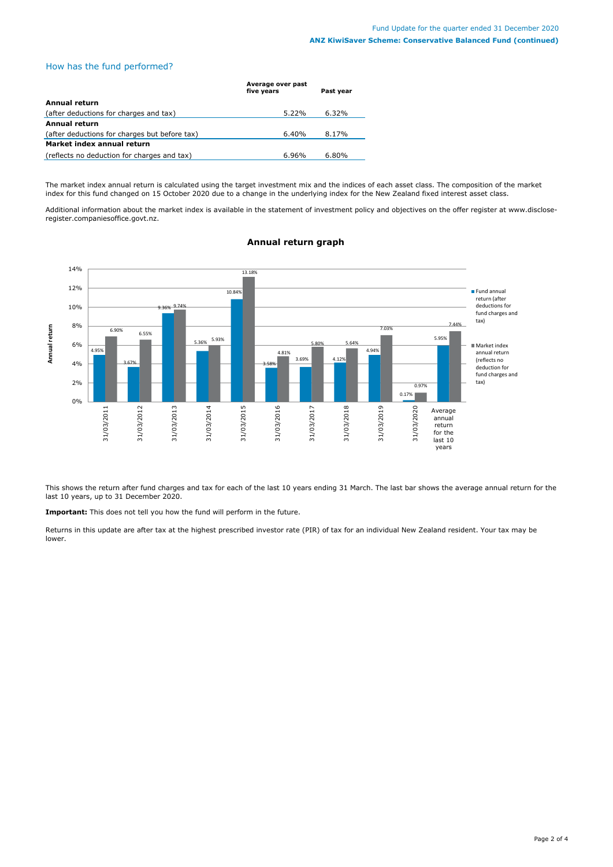# How has the fund performed?

|                                               | Average over past<br>five years | Past year |
|-----------------------------------------------|---------------------------------|-----------|
| <b>Annual return</b>                          |                                 |           |
| (after deductions for charges and tax)        | 5.22%                           | 6.32%     |
| Annual return                                 |                                 |           |
| (after deductions for charges but before tax) | 6.40%                           | 8.17%     |
| Market index annual return                    |                                 |           |
| (reflects no deduction for charges and tax)   | $6.96\%$                        | $6.80\%$  |

The market index annual return is calculated using the target investment mix and the indices of each asset class. The composition of the market index for this fund changed on 15 October 2020 due to a change in the underlying index for the New Zealand fixed interest asset class.

Additional information about the market index is available in the statement of investment policy and objectives on the offer register at www.discloseregister.companiesoffice.govt.nz.



**Annual return graph**

This shows the return after fund charges and tax for each of the last 10 years ending 31 March. The last bar shows the average annual return for the last 10 years, up to 31 December 2020.

**Important:** This does not tell you how the fund will perform in the future.

Returns in this update are after tax at the highest prescribed investor rate (PIR) of tax for an individual New Zealand resident. Your tax may be lower.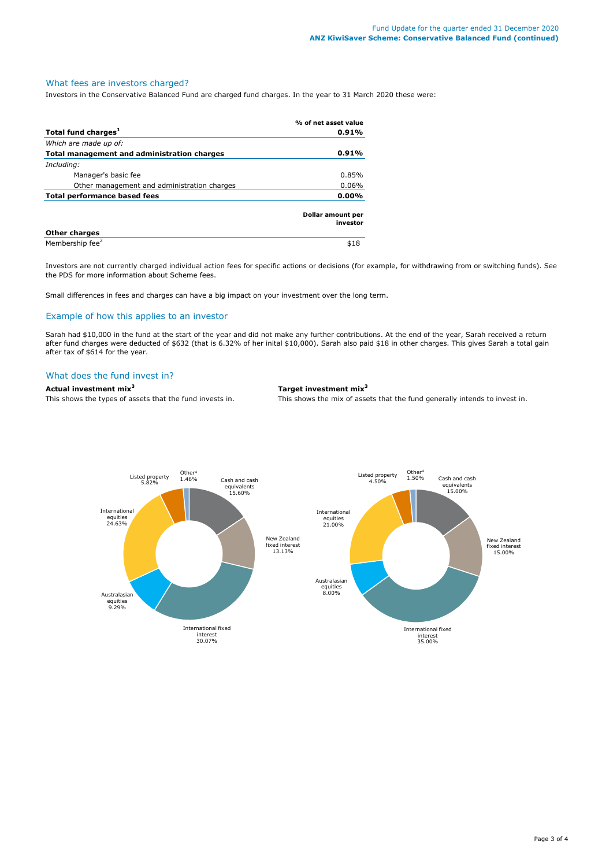# What fees are investors charged?

Investors in the Conservative Balanced Fund are charged fund charges. In the year to 31 March 2020 these were:

|                                             | % of net asset value          |
|---------------------------------------------|-------------------------------|
| Total fund charges <sup>1</sup>             | 0.91%                         |
| Which are made up of:                       |                               |
| Total management and administration charges | 0.91%                         |
| Including:                                  |                               |
| Manager's basic fee                         | 0.85%                         |
| Other management and administration charges | 0.06%                         |
| Total performance based fees                |                               |
|                                             | Dollar amount per<br>investor |
| <b>Other charges</b>                        |                               |
| Membership fee <sup>2</sup>                 | \$18                          |

Investors are not currently charged individual action fees for specific actions or decisions (for example, for withdrawing from or switching funds). See the PDS for more information about Scheme fees.

Small differences in fees and charges can have a big impact on your investment over the long term.

# Example of how this applies to an investor

Sarah had \$10,000 in the fund at the start of the year and did not make any further contributions. At the end of the year, Sarah received a return after fund charges were deducted of \$632 (that is 6.32% of her inital \$10,000). Sarah also paid \$18 in other charges. This gives Sarah a total gain after tax of \$614 for the year.

## What does the fund invest in?

## **Actual investment mix<sup>3</sup> Target investment mix<sup>3</sup>**

This shows the types of assets that the fund invests in. This shows the mix of assets that the fund generally intends to invest in.